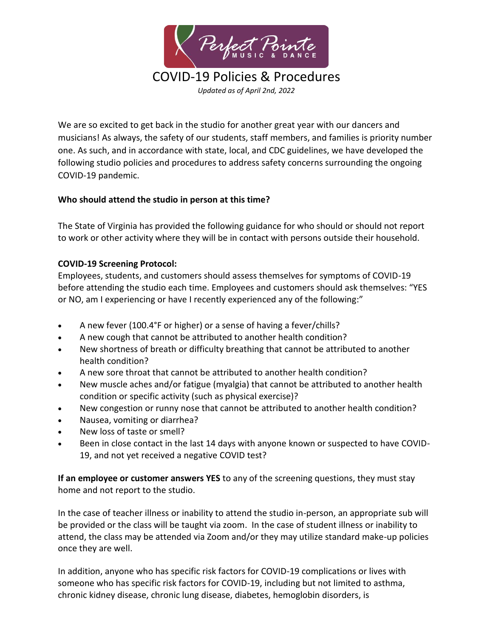

COVID-19 Policies & Procedures

*Updated as of April 2nd, 2022*

We are so excited to get back in the studio for another great year with our dancers and musicians! As always, the safety of our students, staff members, and families is priority number one. As such, and in accordance with state, local, and CDC guidelines, we have developed the following studio policies and procedures to address safety concerns surrounding the ongoing COVID-19 pandemic.

## **Who should attend the studio in person at this time?**

The State of Virginia has provided the following guidance for who should or should not report to work or other activity where they will be in contact with persons outside their household.

## **COVID-19 Screening Protocol:**

Employees, students, and customers should assess themselves for symptoms of COVID-19 before attending the studio each time. Employees and customers should ask themselves: "YES or NO, am I experiencing or have I recently experienced any of the following:"

- A new fever (100.4°F or higher) or a sense of having a fever/chills?
- A new cough that cannot be attributed to another health condition?
- New shortness of breath or difficulty breathing that cannot be attributed to another health condition?
- A new sore throat that cannot be attributed to another health condition?
- New muscle aches and/or fatigue (myalgia) that cannot be attributed to another health condition or specific activity (such as physical exercise)?
- New congestion or runny nose that cannot be attributed to another health condition?
- Nausea, vomiting or diarrhea?
- New loss of taste or smell?
- Been in close contact in the last 14 days with anyone known or suspected to have COVID-19, and not yet received a negative COVID test?

**If an employee or customer answers YES** to any of the screening questions, they must stay home and not report to the studio.

In the case of teacher illness or inability to attend the studio in-person, an appropriate sub will be provided or the class will be taught via zoom. In the case of student illness or inability to attend, the class may be attended via Zoom and/or they may utilize standard make-up policies once they are well.

In addition, anyone who has specific risk factors for COVID-19 complications or lives with someone who has specific risk factors for COVID-19, including but not limited to asthma, chronic kidney disease, chronic lung disease, diabetes, hemoglobin disorders, is